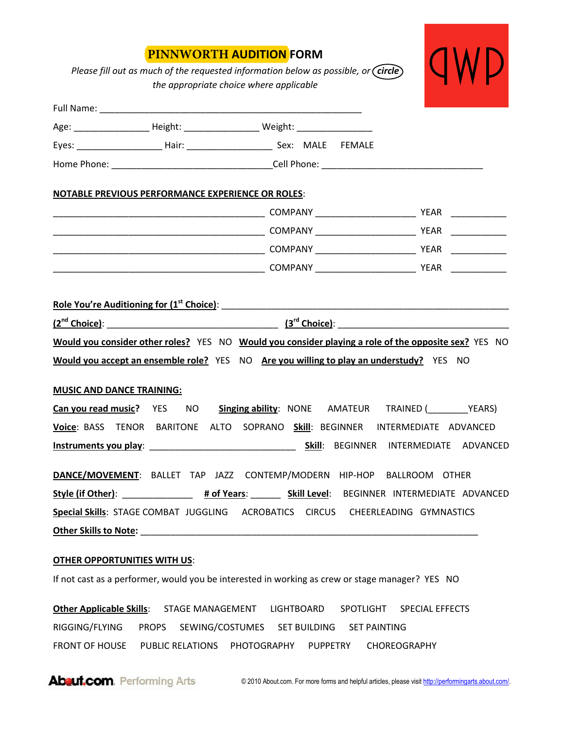## **PINNWORTH AUDITION FORM**

*Please fill out as much of the requested information below as possible, or (circle) the appropriate choice where applicable* 



|                                  | Age: _______________________ Height: _________________________Weight: ______________________________                                                                                            |  |  |
|----------------------------------|-------------------------------------------------------------------------------------------------------------------------------------------------------------------------------------------------|--|--|
|                                  |                                                                                                                                                                                                 |  |  |
|                                  |                                                                                                                                                                                                 |  |  |
|                                  | <b>NOTABLE PREVIOUS PERFORMANCE EXPERIENCE OR ROLES:</b>                                                                                                                                        |  |  |
|                                  |                                                                                                                                                                                                 |  |  |
|                                  |                                                                                                                                                                                                 |  |  |
|                                  |                                                                                                                                                                                                 |  |  |
|                                  |                                                                                                                                                                                                 |  |  |
| <b>MUSIC AND DANCE TRAINING:</b> | Would you consider other roles? YES NO Would you consider playing a role of the opposite sex? YES NO<br>Would you accept an ensemble role? YES NO Are you willing to play an understudy? YES NO |  |  |
|                                  | Can you read music? YES NO Singing ability: NONE AMATEUR TRAINED (___________YEARS)                                                                                                             |  |  |
|                                  | Voice: BASS TENOR BARITONE ALTO SOPRANO Skill: BEGINNER INTERMEDIATE ADVANCED                                                                                                                   |  |  |
|                                  |                                                                                                                                                                                                 |  |  |
|                                  | DANCE/MOVEMENT: BALLET TAP JAZZ CONTEMP/MODERN HIP-HOP BALLROOM OTHER                                                                                                                           |  |  |
|                                  |                                                                                                                                                                                                 |  |  |
|                                  | Special Skills: STAGE COMBAT JUGGLING ACROBATICS CIRCUS CHEERLEADING GYMNASTICS                                                                                                                 |  |  |
|                                  |                                                                                                                                                                                                 |  |  |

## **OTHER OPPORTUNITIES WITH US**:

If not cast as a performer, would you be interested in working as crew or stage manager? YES NO

**Other Applicable Skills**: STAGE MANAGEMENT LIGHTBOARD SPOTLIGHT SPECIAL EFFECTS RIGGING/FLYING PROPS SEWING/COSTUMES SET BUILDING SET PAINTING FRONT OF HOUSE PUBLIC RELATIONS PHOTOGRAPHY PUPPETRY CHOREOGRAPHY